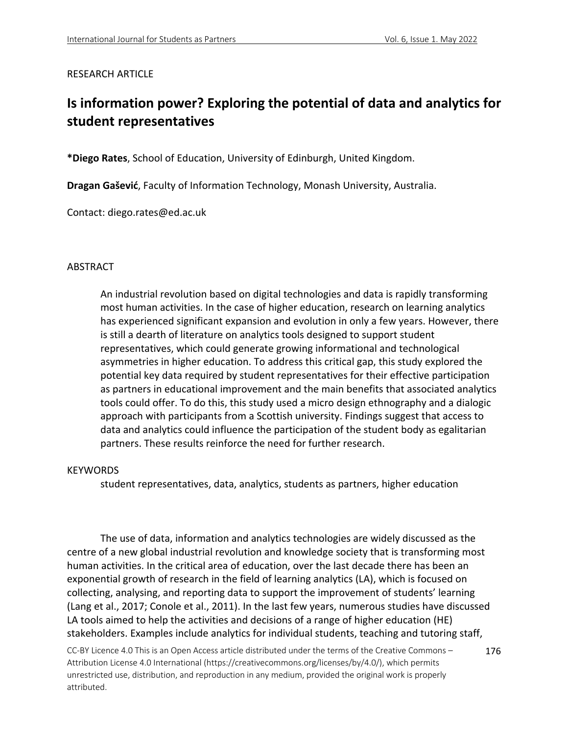### RESEARCH ARTICLE

# **Is information power? Exploring the potential of data and analytics for student representatives**

**\*Diego Rates**, School of Education, University of Edinburgh, United Kingdom.

**Dragan Gašević**, Faculty of Information Technology, Monash University, Australia.

Contact: diego.rates@ed.ac.uk

### ABSTRACT

An industrial revolution based on digital technologies and data is rapidly transforming most human activities. In the case of higher education, research on learning analytics has experienced significant expansion and evolution in only a few years. However, there is still a dearth of literature on analytics tools designed to support student representatives, which could generate growing informational and technological asymmetries in higher education. To address this critical gap, this study explored the potential key data required by student representatives for their effective participation as partners in educational improvement and the main benefits that associated analytics tools could offer. To do this, this study used a micro design ethnography and a dialogic approach with participants from a Scottish university. Findings suggest that access to data and analytics could influence the participation of the student body as egalitarian partners. These results reinforce the need for further research.

#### **KEYWORDS**

student representatives, data, analytics, students as partners, higher education

The use of data, information and analytics technologies are widely discussed as the centre of a new global industrial revolution and knowledge society that is transforming most human activities. In the critical area of education, over the last decade there has been an exponential growth of research in the field of learning analytics (LA), which is focused on collecting, analysing, and reporting data to support the improvement of students' learning (Lang et al., 2017; Conole et al., 2011). In the last few years, numerous studies have discussed LA tools aimed to help the activities and decisions of a range of higher education (HE) stakeholders. Examples include analytics for individual students, teaching and tutoring staff,

CC-BY Licence 4.0 This is an Open Access article distributed under the terms of the Creative Commons – Attribution License 4.0 International (https://creativecommons.org/licenses/by/4.0/), which permits unrestricted use, distribution, and reproduction in any medium, provided the original work is properly attributed. 176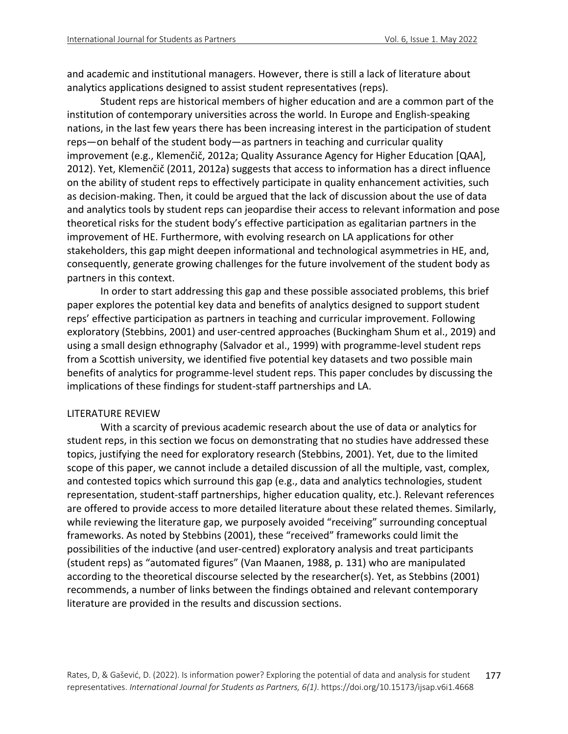and academic and institutional managers. However, there is still a lack of literature about analytics applications designed to assist student representatives (reps).

Student reps are historical members of higher education and are a common part of the institution of contemporary universities across the world. In Europe and English-speaking nations, in the last few years there has been increasing interest in the participation of student reps—on behalf of the student body—as partners in teaching and curricular quality improvement (e.g., Klemenčič, 2012a; Quality Assurance Agency for Higher Education [QAA], 2012). Yet, Klemenčič (2011, 2012a) suggests that access to information has a direct influence on the ability of student reps to effectively participate in quality enhancement activities, such as decision-making. Then, it could be argued that the lack of discussion about the use of data and analytics tools by student reps can jeopardise their access to relevant information and pose theoretical risks for the student body's effective participation as egalitarian partners in the improvement of HE. Furthermore, with evolving research on LA applications for other stakeholders, this gap might deepen informational and technological asymmetries in HE, and, consequently, generate growing challenges for the future involvement of the student body as partners in this context.

In order to start addressing this gap and these possible associated problems, this brief paper explores the potential key data and benefits of analytics designed to support student reps' effective participation as partners in teaching and curricular improvement. Following exploratory (Stebbins, 2001) and user-centred approaches (Buckingham Shum et al., 2019) and using a small design ethnography (Salvador et al., 1999) with programme-level student reps from a Scottish university, we identified five potential key datasets and two possible main benefits of analytics for programme-level student reps. This paper concludes by discussing the implications of these findings for student-staff partnerships and LA.

#### LITERATURE REVIEW

With a scarcity of previous academic research about the use of data or analytics for student reps, in this section we focus on demonstrating that no studies have addressed these topics, justifying the need for exploratory research (Stebbins, 2001). Yet, due to the limited scope of this paper, we cannot include a detailed discussion of all the multiple, vast, complex, and contested topics which surround this gap (e.g., data and analytics technologies, student representation, student-staff partnerships, higher education quality, etc.). Relevant references are offered to provide access to more detailed literature about these related themes. Similarly, while reviewing the literature gap, we purposely avoided "receiving" surrounding conceptual frameworks. As noted by Stebbins (2001), these "received" frameworks could limit the possibilities of the inductive (and user-centred) exploratory analysis and treat participants (student reps) as "automated figures" (Van Maanen, 1988, p. 131) who are manipulated according to the theoretical discourse selected by the researcher(s). Yet, as Stebbins (2001) recommends, a number of links between the findings obtained and relevant contemporary literature are provided in the results and discussion sections.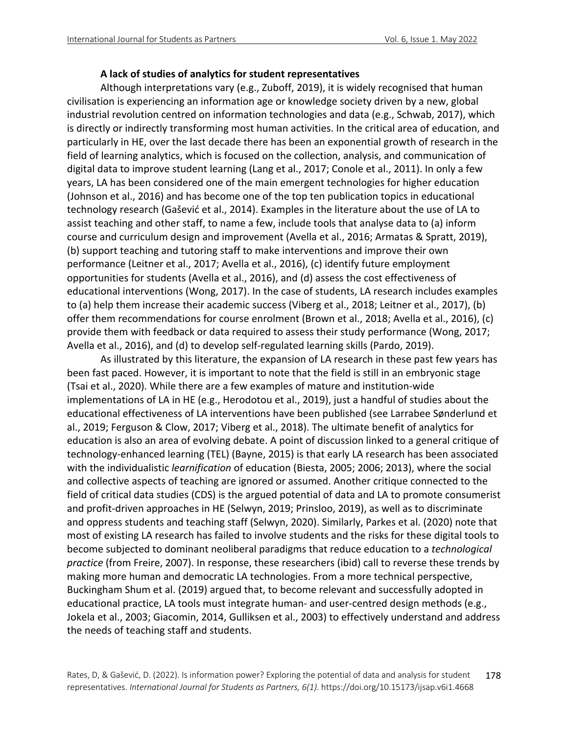#### **A lack of studies of analytics for student representatives**

Although interpretations vary (e.g., Zuboff, 2019), it is widely recognised that human civilisation is experiencing an information age or knowledge society driven by a new, global industrial revolution centred on information technologies and data (e.g., Schwab, 2017), which is directly or indirectly transforming most human activities. In the critical area of education, and particularly in HE, over the last decade there has been an exponential growth of research in the field of learning analytics, which is focused on the collection, analysis, and communication of digital data to improve student learning (Lang et al., 2017; Conole et al., 2011). In only a few years, LA has been considered one of the main emergent technologies for higher education (Johnson et al., 2016) and has become one of the top ten publication topics in educational technology research (Gašević et al., 2014). Examples in the literature about the use of LA to assist teaching and other staff, to name a few, include tools that analyse data to (a) inform course and curriculum design and improvement (Avella et al., 2016; Armatas & Spratt, 2019), (b) support teaching and tutoring staff to make interventions and improve their own performance (Leitner et al., 2017; Avella et al., 2016), (c) identify future employment opportunities for students (Avella et al., 2016), and (d) assess the cost effectiveness of educational interventions (Wong, 2017). In the case of students, LA research includes examples to (a) help them increase their academic success (Viberg et al., 2018; Leitner et al., 2017), (b) offer them recommendations for course enrolment (Brown et al., 2018; Avella et al., 2016), (c) provide them with feedback or data required to assess their study performance (Wong, 2017; Avella et al., 2016), and (d) to develop self-regulated learning skills (Pardo, 2019).

As illustrated by this literature, the expansion of LA research in these past few years has been fast paced. However, it is important to note that the field is still in an embryonic stage (Tsai et al., 2020). While there are a few examples of mature and institution-wide implementations of LA in HE (e.g., Herodotou et al., 2019), just a handful of studies about the educational effectiveness of LA interventions have been published (see Larrabee Sønderlund et al., 2019; Ferguson & Clow, 2017; Viberg et al., 2018). The ultimate benefit of analytics for education is also an area of evolving debate. A point of discussion linked to a general critique of technology-enhanced learning (TEL) (Bayne, 2015) is that early LA research has been associated with the individualistic *learnification* of education (Biesta, 2005; 2006; 2013), where the social and collective aspects of teaching are ignored or assumed. Another critique connected to the field of critical data studies (CDS) is the argued potential of data and LA to promote consumerist and profit-driven approaches in HE (Selwyn, 2019; Prinsloo, 2019), as well as to discriminate and oppress students and teaching staff (Selwyn, 2020). Similarly, Parkes et al. (2020) note that most of existing LA research has failed to involve students and the risks for these digital tools to become subjected to dominant neoliberal paradigms that reduce education to a *technological practice* (from Freire, 2007). In response, these researchers (ibid) call to reverse these trends by making more human and democratic LA technologies. From a more technical perspective, Buckingham Shum et al. (2019) argued that, to become relevant and successfully adopted in educational practice, LA tools must integrate human- and user-centred design methods (e.g., Jokela et al., 2003; Giacomin, 2014, Gulliksen et al., 2003) to effectively understand and address the needs of teaching staff and students.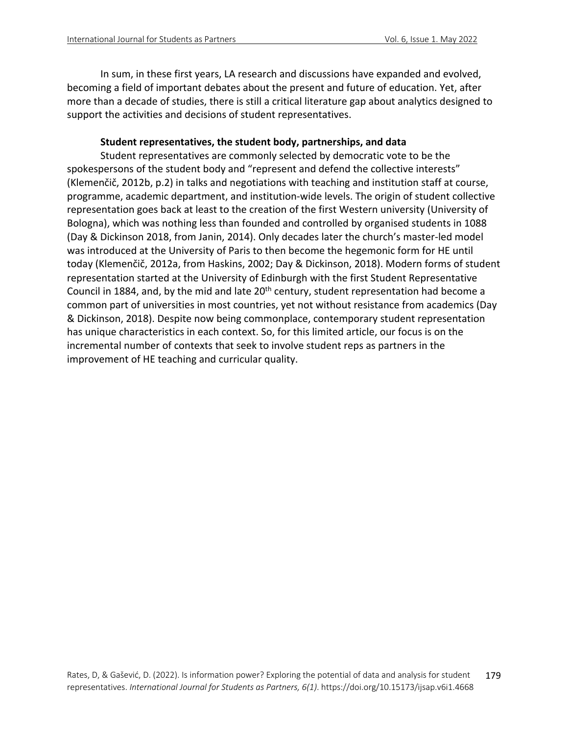In sum, in these first years, LA research and discussions have expanded and evolved, becoming a field of important debates about the present and future of education. Yet, after more than a decade of studies, there is still a critical literature gap about analytics designed to support the activities and decisions of student representatives.

### **Student representatives, the student body, partnerships, and data**

Student representatives are commonly selected by democratic vote to be the spokespersons of the student body and "represent and defend the collective interests" (Klemenčič, 2012b, p.2) in talks and negotiations with teaching and institution staff at course, programme, academic department, and institution-wide levels. The origin of student collective representation goes back at least to the creation of the first Western university (University of Bologna), which was nothing less than founded and controlled by organised students in 1088 (Day & Dickinson 2018, from Janin, 2014). Only decades later the church's master-led model was introduced at the University of Paris to then become the hegemonic form for HE until today (Klemenčič, 2012a, from Haskins, 2002; Day & Dickinson, 2018). Modern forms of student representation started at the University of Edinburgh with the first Student Representative Council in 1884, and, by the mid and late 20<sup>th</sup> century, student representation had become a common part of universities in most countries, yet not without resistance from academics (Day & Dickinson, 2018). Despite now being commonplace, contemporary student representation has unique characteristics in each context. So, for this limited article, our focus is on the incremental number of contexts that seek to involve student reps as partners in the improvement of HE teaching and curricular quality.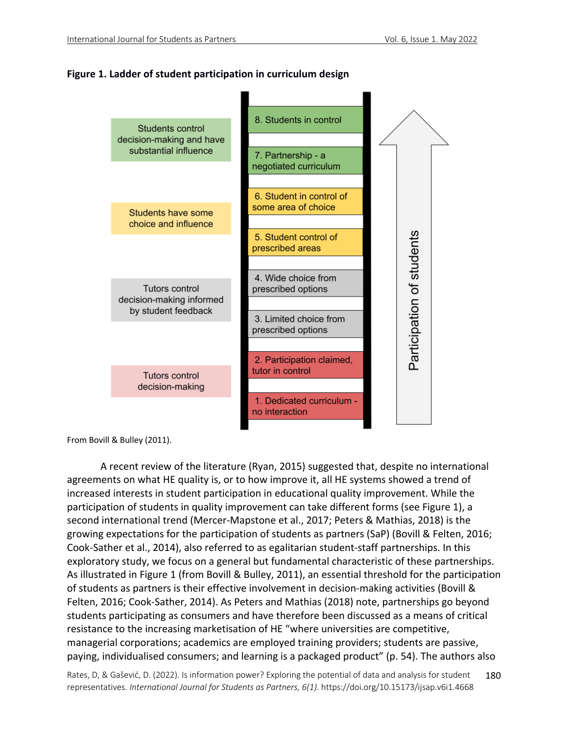### **Figure 1. Ladder of student participation in curriculum design**



From Bovill & Bulley (2011).

A recent review of the literature (Ryan, 2015) suggested that, despite no international agreements on what HE quality is, or to how improve it, all HE systems showed a trend of increased interests in student participation in educational quality improvement. While the participation of students in quality improvement can take different forms (see Figure 1), a second international trend (Mercer-Mapstone et al., 2017; Peters & Mathias, 2018) is the growing expectations for the participation of students as partners (SaP) (Bovill & Felten, 2016; Cook-Sather et al., 2014), also referred to as egalitarian student-staff partnerships. In this exploratory study, we focus on a general but fundamental characteristic of these partnerships. As illustrated in Figure 1 (from Bovill & Bulley, 2011), an essential threshold for the participation of students as partners is their effective involvement in decision-making activities (Bovill & Felten, 2016; Cook-Sather, 2014). As Peters and Mathias (2018) note, partnerships go beyond students participating as consumers and have therefore been discussed as a means of critical resistance to the increasing marketisation of HE "where universities are competitive, managerial corporations; academics are employed training providers; students are passive, paying, individualised consumers; and learning is a packaged product" (p. 54). The authors also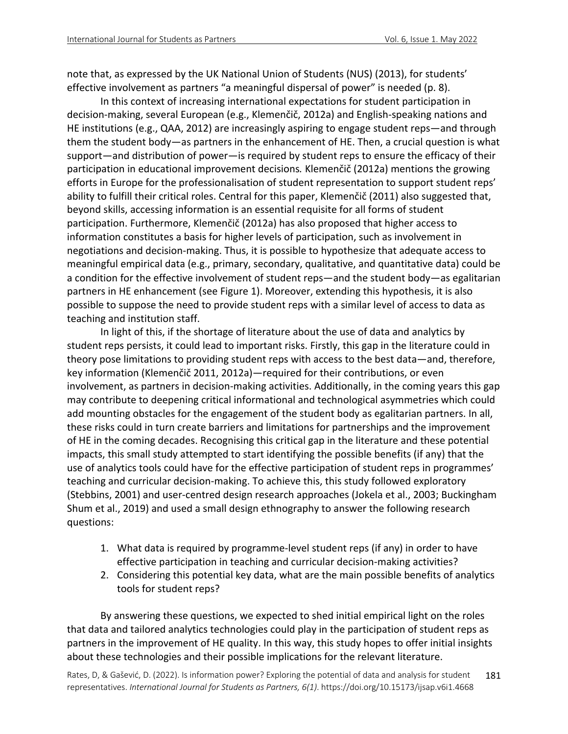note that, as expressed by the UK National Union of Students (NUS) (2013), for students' effective involvement as partners "a meaningful dispersal of power" is needed (p. 8).

In this context of increasing international expectations for student participation in decision-making, several European (e.g., Klemenčič, 2012a) and English-speaking nations and HE institutions (e.g., QAA, 2012) are increasingly aspiring to engage student reps—and through them the student body—as partners in the enhancement of HE. Then, a crucial question is what support—and distribution of power—is required by student reps to ensure the efficacy of their participation in educational improvement decisions*.* Klemenčič (2012a) mentions the growing efforts in Europe for the professionalisation of student representation to support student reps' ability to fulfill their critical roles. Central for this paper, Klemenčič (2011) also suggested that, beyond skills, accessing information is an essential requisite for all forms of student participation. Furthermore, Klemenčič (2012a) has also proposed that higher access to information constitutes a basis for higher levels of participation, such as involvement in negotiations and decision-making. Thus, it is possible to hypothesize that adequate access to meaningful empirical data (e.g., primary, secondary, qualitative, and quantitative data) could be a condition for the effective involvement of student reps—and the student body—as egalitarian partners in HE enhancement (see Figure 1). Moreover, extending this hypothesis, it is also possible to suppose the need to provide student reps with a similar level of access to data as teaching and institution staff.

In light of this, if the shortage of literature about the use of data and analytics by student reps persists, it could lead to important risks. Firstly, this gap in the literature could in theory pose limitations to providing student reps with access to the best data—and, therefore, key information (Klemenčič 2011, 2012a)—required for their contributions, or even involvement, as partners in decision-making activities. Additionally, in the coming years this gap may contribute to deepening critical informational and technological asymmetries which could add mounting obstacles for the engagement of the student body as egalitarian partners. In all, these risks could in turn create barriers and limitations for partnerships and the improvement of HE in the coming decades. Recognising this critical gap in the literature and these potential impacts, this small study attempted to start identifying the possible benefits (if any) that the use of analytics tools could have for the effective participation of student reps in programmes' teaching and curricular decision-making. To achieve this, this study followed exploratory (Stebbins, 2001) and user-centred design research approaches (Jokela et al., 2003; Buckingham Shum et al., 2019) and used a small design ethnography to answer the following research questions:

- 1. What data is required by programme-level student reps (if any) in order to have effective participation in teaching and curricular decision-making activities?
- 2. Considering this potential key data, what are the main possible benefits of analytics tools for student reps?

By answering these questions, we expected to shed initial empirical light on the roles that data and tailored analytics technologies could play in the participation of student reps as partners in the improvement of HE quality. In this way, this study hopes to offer initial insights about these technologies and their possible implications for the relevant literature.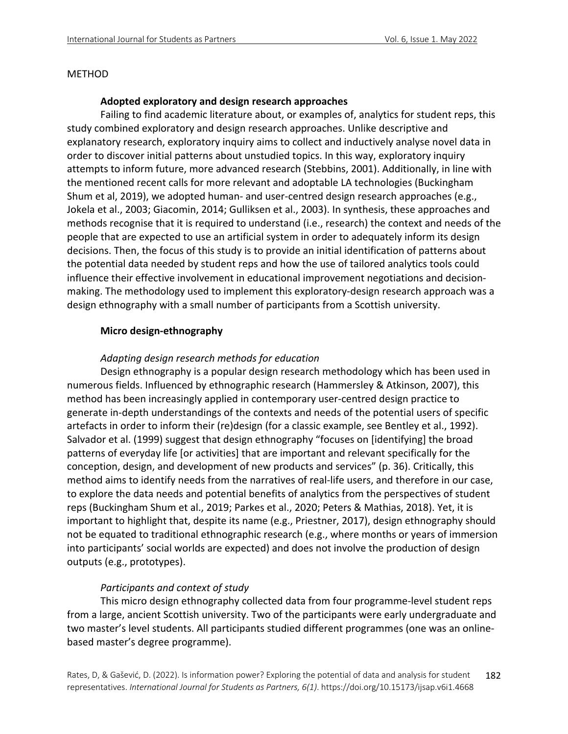#### METHOD

#### **Adopted exploratory and design research approaches**

Failing to find academic literature about, or examples of, analytics for student reps, this study combined exploratory and design research approaches. Unlike descriptive and explanatory research, exploratory inquiry aims to collect and inductively analyse novel data in order to discover initial patterns about unstudied topics. In this way, exploratory inquiry attempts to inform future, more advanced research (Stebbins, 2001). Additionally, in line with the mentioned recent calls for more relevant and adoptable LA technologies (Buckingham Shum et al, 2019), we adopted human- and user-centred design research approaches (e.g., Jokela et al., 2003; Giacomin, 2014; Gulliksen et al., 2003). In synthesis, these approaches and methods recognise that it is required to understand (i.e., research) the context and needs of the people that are expected to use an artificial system in order to adequately inform its design decisions. Then, the focus of this study is to provide an initial identification of patterns about the potential data needed by student reps and how the use of tailored analytics tools could influence their effective involvement in educational improvement negotiations and decisionmaking. The methodology used to implement this exploratory-design research approach was a design ethnography with a small number of participants from a Scottish university.

#### **Micro design-ethnography**

### *Adapting design research methods for education*

Design ethnography is a popular design research methodology which has been used in numerous fields. Influenced by ethnographic research (Hammersley & Atkinson, 2007), this method has been increasingly applied in contemporary user-centred design practice to generate in-depth understandings of the contexts and needs of the potential users of specific artefacts in order to inform their (re)design (for a classic example, see Bentley et al., 1992). Salvador et al. (1999) suggest that design ethnography "focuses on [identifying] the broad patterns of everyday life [or activities] that are important and relevant specifically for the conception, design, and development of new products and services" (p. 36). Critically, this method aims to identify needs from the narratives of real-life users, and therefore in our case, to explore the data needs and potential benefits of analytics from the perspectives of student reps (Buckingham Shum et al., 2019; Parkes et al., 2020; Peters & Mathias, 2018). Yet, it is important to highlight that, despite its name (e.g., Priestner, 2017), design ethnography should not be equated to traditional ethnographic research (e.g., where months or years of immersion into participants' social worlds are expected) and does not involve the production of design outputs (e.g., prototypes).

### *Participants and context of study*

This micro design ethnography collected data from four programme-level student reps from a large, ancient Scottish university. Two of the participants were early undergraduate and two master's level students. All participants studied different programmes (one was an onlinebased master's degree programme).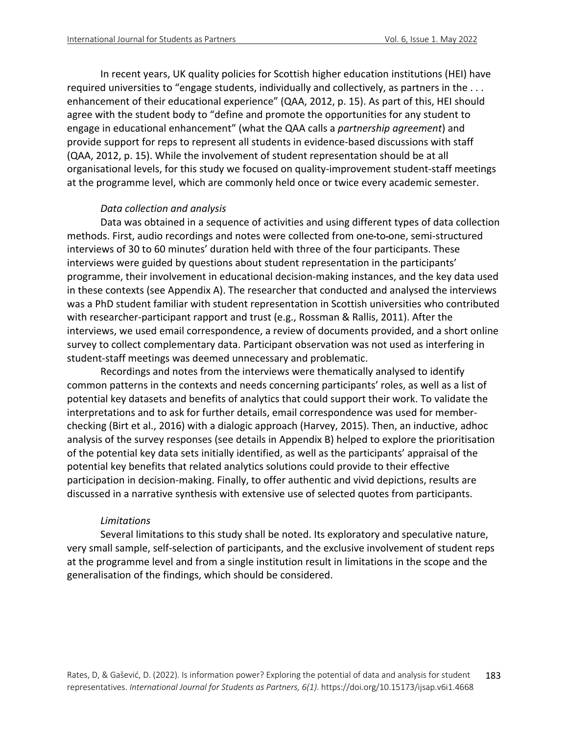In recent years, UK quality policies for Scottish higher education institutions (HEI) have required universities to "engage students, individually and collectively, as partners in the ... enhancement of their educational experience" (QAA, 2012, p. 15). As part of this, HEI should agree with the student body to "define and promote the opportunities for any student to engage in educational enhancement" (what the QAA calls a *partnership agreement*) and provide support for reps to represent all students in evidence-based discussions with staff (QAA, 2012, p. 15). While the involvement of student representation should be at all organisational levels, for this study we focused on quality-improvement student-staff meetings at the programme level, which are commonly held once or twice every academic semester.

#### *Data collection and analysis*

Data was obtained in a sequence of activities and using different types of data collection methods. First, audio recordings and notes were collected from one to one, semi-structured interviews of 30 to 60 minutes' duration held with three of the four participants. These interviews were guided by questions about student representation in the participants' programme, their involvement in educational decision-making instances, and the key data used in these contexts (see Appendix A). The researcher that conducted and analysed the interviews was a PhD student familiar with student representation in Scottish universities who contributed with researcher-participant rapport and trust (e.g., Rossman & Rallis, 2011). After the interviews, we used email correspondence, a review of documents provided, and a short online survey to collect complementary data. Participant observation was not used as interfering in student-staff meetings was deemed unnecessary and problematic.

Recordings and notes from the interviews were thematically analysed to identify common patterns in the contexts and needs concerning participants' roles, as well as a list of potential key datasets and benefits of analytics that could support their work. To validate the interpretations and to ask for further details, email correspondence was used for memberchecking (Birt et al., 2016) with a dialogic approach (Harvey, 2015). Then, an inductive, adhoc analysis of the survey responses (see details in Appendix B) helped to explore the prioritisation of the potential key data sets initially identified, as well as the participants' appraisal of the potential key benefits that related analytics solutions could provide to their effective participation in decision-making. Finally, to offer authentic and vivid depictions, results are discussed in a narrative synthesis with extensive use of selected quotes from participants.

#### *Limitations*

Several limitations to this study shall be noted. Its exploratory and speculative nature, very small sample, self-selection of participants, and the exclusive involvement of student reps at the programme level and from a single institution result in limitations in the scope and the generalisation of the findings, which should be considered.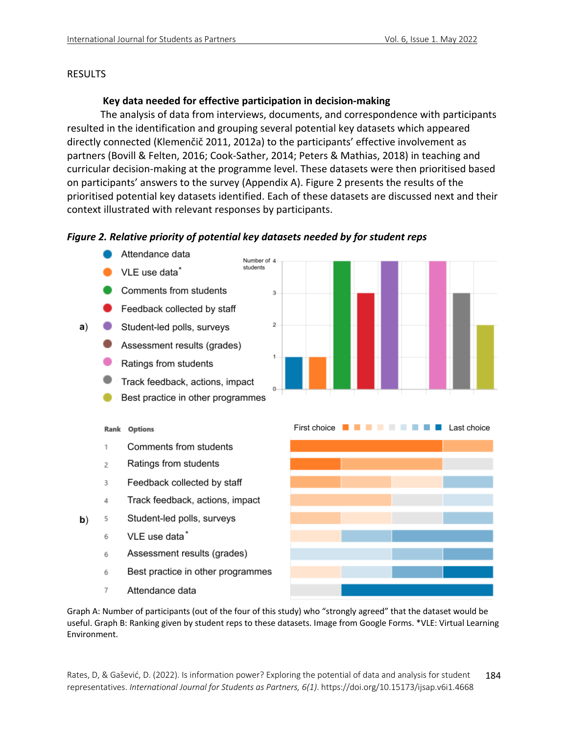### RESULTS

### **Key data needed for effective participation in decision-making**

The analysis of data from interviews, documents, and correspondence with participants resulted in the identification and grouping several potential key datasets which appeared directly connected (Klemenčič 2011, 2012a) to the participants' effective involvement as partners (Bovill & Felten, 2016; Cook-Sather, 2014; Peters & Mathias, 2018) in teaching and curricular decision-making at the programme level. These datasets were then prioritised based on participants' answers to the survey (Appendix A). Figure 2 presents the results of the prioritised potential key datasets identified. Each of these datasets are discussed next and their context illustrated with relevant responses by participants.

### *Figure 2. Relative priority of potential key datasets needed by for student reps*

Attendance data Number of 4 students VLE use data\* Comments from students  $\overline{3}$ Feedback collected by staff  $\overline{c}$  $a)$ Student-led polls, surveys Assessment results (grades)  $\mathbf{1}$ Ratings from students Track feedback, actions, impact Best practice in other programmes First choice **THE THE THE Last choice Rank Options** Comments from students  $\mathbf{1}$ Ratings from students  $\overline{2}$ 3 Feedback collected by staff Track feedback, actions, impact 4 5 Student-led polls, surveys b) VLE use data\* 6 Assessment results (grades) 6 Best practice in other programmes 6  $\overline{7}$ Attendance data

Graph A: Number of participants (out of the four of this study) who "strongly agreed" that the dataset would be useful. Graph B: Ranking given by student reps to these datasets. Image from Google Forms. \*VLE: Virtual Learning Environment.



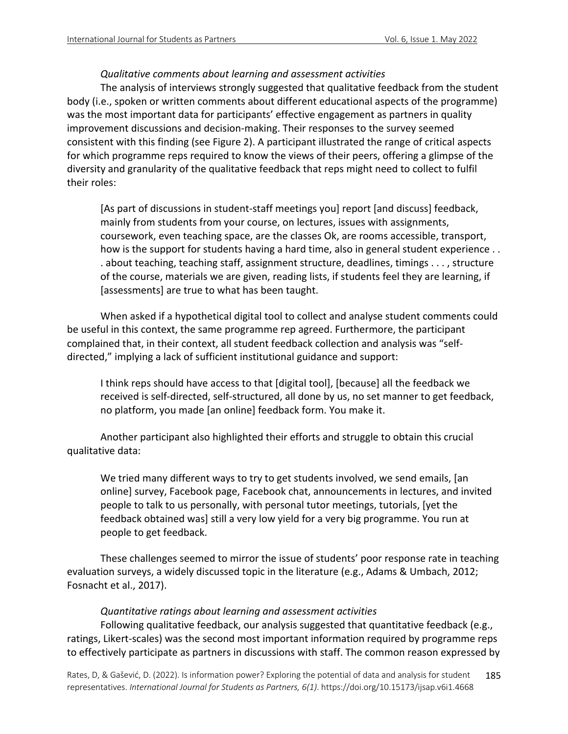# *Qualitative comments about learning and assessment activities*

The analysis of interviews strongly suggested that qualitative feedback from the student body (i.e., spoken or written comments about different educational aspects of the programme) was the most important data for participants' effective engagement as partners in quality improvement discussions and decision-making. Their responses to the survey seemed consistent with this finding (see Figure 2). A participant illustrated the range of critical aspects for which programme reps required to know the views of their peers, offering a glimpse of the diversity and granularity of the qualitative feedback that reps might need to collect to fulfil their roles:

[As part of discussions in student-staff meetings you] report [and discuss] feedback, mainly from students from your course, on lectures, issues with assignments, coursework, even teaching space, are the classes Ok, are rooms accessible, transport, how is the support for students having a hard time, also in general student experience . . . about teaching, teaching staff, assignment structure, deadlines, timings . . . , structure of the course, materials we are given, reading lists, if students feel they are learning, if [assessments] are true to what has been taught.

When asked if a hypothetical digital tool to collect and analyse student comments could be useful in this context, the same programme rep agreed. Furthermore, the participant complained that, in their context, all student feedback collection and analysis was "selfdirected," implying a lack of sufficient institutional guidance and support:

I think reps should have access to that [digital tool], [because] all the feedback we received is self-directed, self-structured, all done by us, no set manner to get feedback, no platform, you made [an online] feedback form. You make it.

Another participant also highlighted their efforts and struggle to obtain this crucial qualitative data:

We tried many different ways to try to get students involved, we send emails, [an online] survey, Facebook page, Facebook chat, announcements in lectures, and invited people to talk to us personally, with personal tutor meetings, tutorials, [yet the feedback obtained was] still a very low yield for a very big programme. You run at people to get feedback.

These challenges seemed to mirror the issue of students' poor response rate in teaching evaluation surveys, a widely discussed topic in the literature (e.g., Adams & Umbach, 2012; Fosnacht et al., 2017).

*Quantitative ratings about learning and assessment activities*

Following qualitative feedback, our analysis suggested that quantitative feedback (e.g., ratings, Likert-scales) was the second most important information required by programme reps to effectively participate as partners in discussions with staff. The common reason expressed by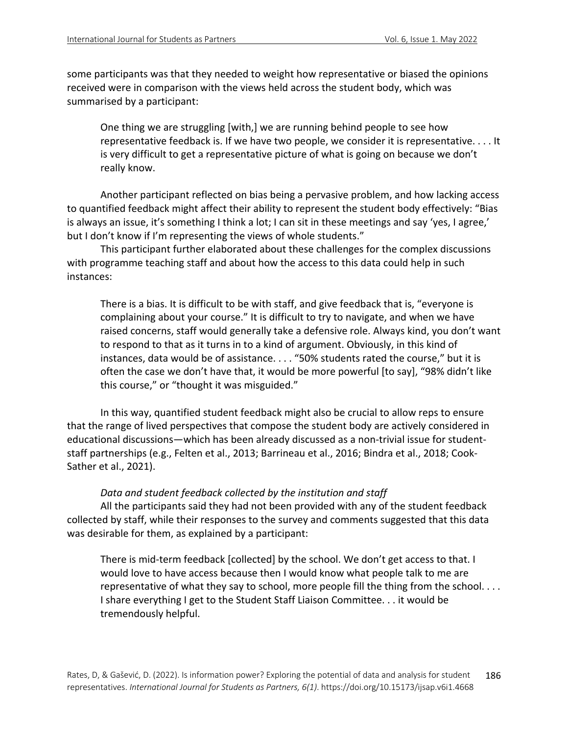some participants was that they needed to weight how representative or biased the opinions received were in comparison with the views held across the student body, which was summarised by a participant:

One thing we are struggling [with,] we are running behind people to see how representative feedback is. If we have two people, we consider it is representative. . . . It is very difficult to get a representative picture of what is going on because we don't really know.

Another participant reflected on bias being a pervasive problem, and how lacking access to quantified feedback might affect their ability to represent the student body effectively: "Bias is always an issue, it's something I think a lot; I can sit in these meetings and say 'yes, I agree,' but I don't know if I'm representing the views of whole students."

This participant further elaborated about these challenges for the complex discussions with programme teaching staff and about how the access to this data could help in such instances:

There is a bias. It is difficult to be with staff, and give feedback that is, "everyone is complaining about your course." It is difficult to try to navigate, and when we have raised concerns, staff would generally take a defensive role. Always kind, you don't want to respond to that as it turns in to a kind of argument. Obviously, in this kind of instances, data would be of assistance. . . . "50% students rated the course," but it is often the case we don't have that, it would be more powerful [to say], "98% didn't like this course," or "thought it was misguided."

In this way, quantified student feedback might also be crucial to allow reps to ensure that the range of lived perspectives that compose the student body are actively considered in educational discussions—which has been already discussed as a non-trivial issue for studentstaff partnerships (e.g., Felten et al., 2013; Barrineau et al., 2016; Bindra et al., 2018; Cook-Sather et al., 2021).

#### *Data and student feedback collected by the institution and staff*

All the participants said they had not been provided with any of the student feedback collected by staff, while their responses to the survey and comments suggested that this data was desirable for them, as explained by a participant:

There is mid-term feedback [collected] by the school. We don't get access to that. I would love to have access because then I would know what people talk to me are representative of what they say to school, more people fill the thing from the school. . . . I share everything I get to the Student Staff Liaison Committee. . . it would be tremendously helpful.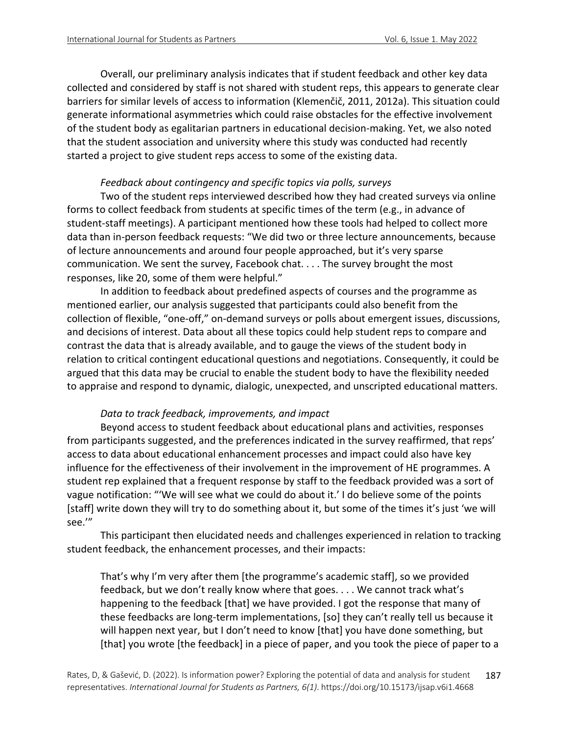Overall, our preliminary analysis indicates that if student feedback and other key data collected and considered by staff is not shared with student reps, this appears to generate clear barriers for similar levels of access to information (Klemenčič, 2011, 2012a). This situation could generate informational asymmetries which could raise obstacles for the effective involvement of the student body as egalitarian partners in educational decision-making. Yet, we also noted that the student association and university where this study was conducted had recently started a project to give student reps access to some of the existing data.

# *Feedback about contingency and specific topics via polls, surveys*

Two of the student reps interviewed described how they had created surveys via online forms to collect feedback from students at specific times of the term (e.g., in advance of student-staff meetings). A participant mentioned how these tools had helped to collect more data than in-person feedback requests: "We did two or three lecture announcements, because of lecture announcements and around four people approached, but it's very sparse communication. We sent the survey, Facebook chat. . . . The survey brought the most responses, like 20, some of them were helpful."

In addition to feedback about predefined aspects of courses and the programme as mentioned earlier, our analysis suggested that participants could also benefit from the collection of flexible, "one-off," on-demand surveys or polls about emergent issues, discussions, and decisions of interest. Data about all these topics could help student reps to compare and contrast the data that is already available, and to gauge the views of the student body in relation to critical contingent educational questions and negotiations. Consequently, it could be argued that this data may be crucial to enable the student body to have the flexibility needed to appraise and respond to dynamic, dialogic, unexpected, and unscripted educational matters.

# *Data to track feedback, improvements, and impact*

Beyond access to student feedback about educational plans and activities, responses from participants suggested, and the preferences indicated in the survey reaffirmed, that reps' access to data about educational enhancement processes and impact could also have key influence for the effectiveness of their involvement in the improvement of HE programmes. A student rep explained that a frequent response by staff to the feedback provided was a sort of vague notification: "'We will see what we could do about it.' I do believe some of the points [staff] write down they will try to do something about it, but some of the times it's just 'we will see.'"

This participant then elucidated needs and challenges experienced in relation to tracking student feedback, the enhancement processes, and their impacts:

That's why I'm very after them [the programme's academic staff], so we provided feedback, but we don't really know where that goes. . . . We cannot track what's happening to the feedback [that] we have provided. I got the response that many of these feedbacks are long-term implementations, [so] they can't really tell us because it will happen next year, but I don't need to know [that] you have done something, but [that] you wrote [the feedback] in a piece of paper, and you took the piece of paper to a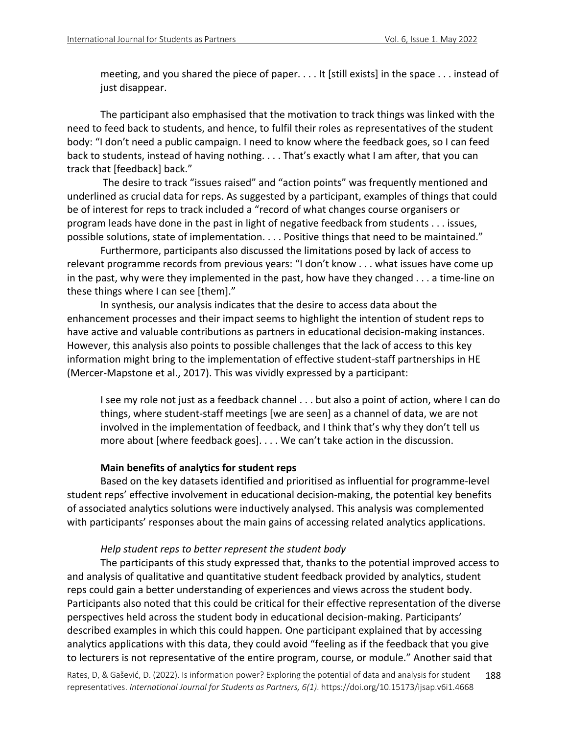meeting, and you shared the piece of paper. . . . It [still exists] in the space . . . instead of just disappear.

The participant also emphasised that the motivation to track things was linked with the need to feed back to students, and hence, to fulfil their roles as representatives of the student body: "I don't need a public campaign. I need to know where the feedback goes, so I can feed back to students, instead of having nothing. . . . That's exactly what I am after, that you can track that [feedback] back."

The desire to track "issues raised" and "action points" was frequently mentioned and underlined as crucial data for reps. As suggested by a participant, examples of things that could be of interest for reps to track included a "record of what changes course organisers or program leads have done in the past in light of negative feedback from students . . . issues, possible solutions, state of implementation. . . . Positive things that need to be maintained."

Furthermore, participants also discussed the limitations posed by lack of access to relevant programme records from previous years: "I don't know . . . what issues have come up in the past, why were they implemented in the past, how have they changed . . . a time-line on these things where I can see [them]."

In synthesis, our analysis indicates that the desire to access data about the enhancement processes and their impact seems to highlight the intention of student reps to have active and valuable contributions as partners in educational decision-making instances. However, this analysis also points to possible challenges that the lack of access to this key information might bring to the implementation of effective student-staff partnerships in HE (Mercer-Mapstone et al., 2017). This was vividly expressed by a participant:

I see my role not just as a feedback channel . . . but also a point of action, where I can do things, where student-staff meetings [we are seen] as a channel of data, we are not involved in the implementation of feedback, and I think that's why they don't tell us more about [where feedback goes]. . . . We can't take action in the discussion.

### **Main benefits of analytics for student reps**

Based on the key datasets identified and prioritised as influential for programme-level student reps' effective involvement in educational decision-making, the potential key benefits of associated analytics solutions were inductively analysed. This analysis was complemented with participants' responses about the main gains of accessing related analytics applications.

# *Help student reps to better represent the student body*

The participants of this study expressed that, thanks to the potential improved access to and analysis of qualitative and quantitative student feedback provided by analytics, student reps could gain a better understanding of experiences and views across the student body. Participants also noted that this could be critical for their effective representation of the diverse perspectives held across the student body in educational decision-making. Participants' described examples in which this could happen*.* One participant explained that by accessing analytics applications with this data, they could avoid "feeling as if the feedback that you give to lecturers is not representative of the entire program, course, or module." Another said that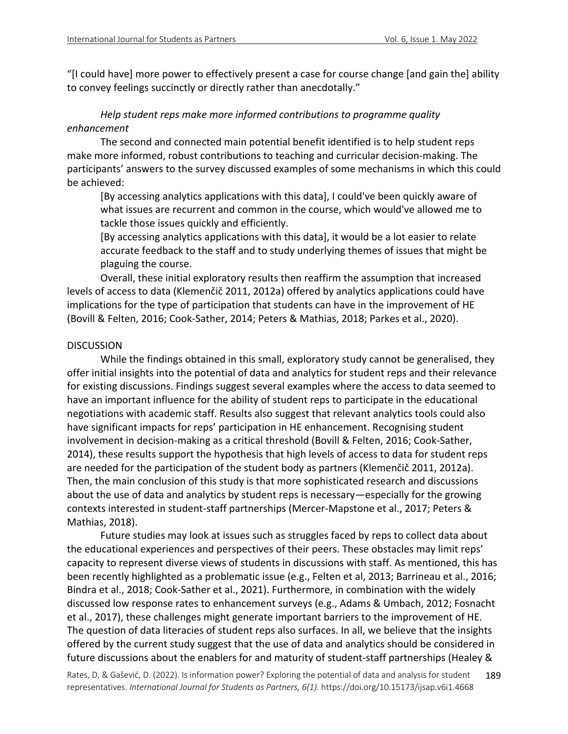"[I could have] more power to effectively present a case for course change [and gain the] ability to convey feelings succinctly or directly rather than anecdotally."

# *Help student reps make more informed contributions to programme quality enhancement*

The second and connected main potential benefit identified is to help student reps make more informed, robust contributions to teaching and curricular decision-making. The participants' answers to the survey discussed examples of some mechanisms in which this could be achieved:

[By accessing analytics applications with this data], I could've been quickly aware of what issues are recurrent and common in the course, which would've allowed me to tackle those issues quickly and efficiently.

[By accessing analytics applications with this data], it would be a lot easier to relate accurate feedback to the staff and to study underlying themes of issues that might be plaguing the course.

Overall, these initial exploratory results then reaffirm the assumption that increased levels of access to data (Klemenčič 2011, 2012a) offered by analytics applications could have implications for the type of participation that students can have in the improvement of HE (Bovill & Felten, 2016; Cook-Sather, 2014; Peters & Mathias, 2018; Parkes et al., 2020).

### DISCUSSION

While the findings obtained in this small, exploratory study cannot be generalised, they offer initial insights into the potential of data and analytics for student reps and their relevance for existing discussions. Findings suggest several examples where the access to data seemed to have an important influence for the ability of student reps to participate in the educational negotiations with academic staff. Results also suggest that relevant analytics tools could also have significant impacts for reps' participation in HE enhancement. Recognising student involvement in decision-making as a critical threshold (Bovill & Felten, 2016; Cook-Sather, 2014), these results support the hypothesis that high levels of access to data for student reps are needed for the participation of the student body as partners (Klemenčič 2011, 2012a). Then, the main conclusion of this study is that more sophisticated research and discussions about the use of data and analytics by student reps is necessary—especially for the growing contexts interested in student-staff partnerships (Mercer-Mapstone et al., 2017; Peters & Mathias, 2018).

Future studies may look at issues such as struggles faced by reps to collect data about the educational experiences and perspectives of their peers. These obstacles may limit reps' capacity to represent diverse views of students in discussions with staff. As mentioned, this has been recently highlighted as a problematic issue (e.g., Felten et al, 2013; Barrineau et al., 2016; Bindra et al., 2018; Cook-Sather et al., 2021). Furthermore, in combination with the widely discussed low response rates to enhancement surveys (e.g., Adams & Umbach, 2012; Fosnacht et al., 2017), these challenges might generate important barriers to the improvement of HE. The question of data literacies of student reps also surfaces. In all, we believe that the insights offered by the current study suggest that the use of data and analytics should be considered in future discussions about the enablers for and maturity of student-staff partnerships (Healey &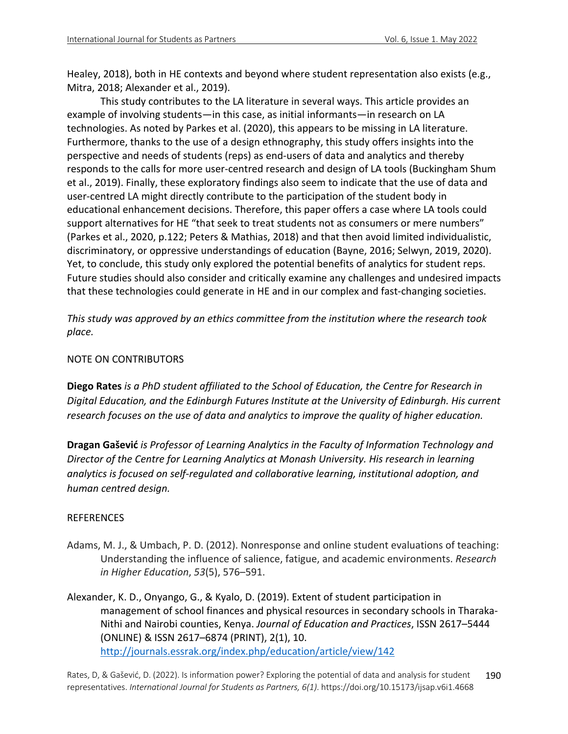Healey, 2018), both in HE contexts and beyond where student representation also exists (e.g., Mitra, 2018; Alexander et al., 2019).

This study contributes to the LA literature in several ways. This article provides an example of involving students—in this case, as initial informants—in research on LA technologies. As noted by Parkes et al. (2020), this appears to be missing in LA literature. Furthermore, thanks to the use of a design ethnography, this study offers insights into the perspective and needs of students (reps) as end-users of data and analytics and thereby responds to the calls for more user-centred research and design of LA tools (Buckingham Shum et al., 2019). Finally, these exploratory findings also seem to indicate that the use of data and user-centred LA might directly contribute to the participation of the student body in educational enhancement decisions. Therefore, this paper offers a case where LA tools could support alternatives for HE "that seek to treat students not as consumers or mere numbers" (Parkes et al., 2020, p.122; Peters & Mathias, 2018) and that then avoid limited individualistic, discriminatory, or oppressive understandings of education (Bayne, 2016; Selwyn, 2019, 2020). Yet, to conclude, this study only explored the potential benefits of analytics for student reps. Future studies should also consider and critically examine any challenges and undesired impacts that these technologies could generate in HE and in our complex and fast-changing societies.

*This study was approved by an ethics committee from the institution where the research took place.*

# NOTE ON CONTRIBUTORS

**Diego Rates** *is a PhD student affiliated to the School of Education, the Centre for Research in Digital Education, and the Edinburgh Futures Institute at the University of Edinburgh. His current research focuses on the use of data and analytics to improve the quality of higher education.*

**Dragan Gašević** *is Professor of Learning Analytics in the Faculty of Information Technology and Director of the Centre for Learning Analytics at Monash University. His research in learning analytics is focused on self-regulated and collaborative learning, institutional adoption, and human centred design.*

# REFERENCES

- Adams, M. J., & Umbach, P. D. (2012). Nonresponse and online student evaluations of teaching: Understanding the influence of salience, fatigue, and academic environments. *Research in Higher Education*, *53*(5), 576–591.
- Alexander, K. D., Onyango, G., & Kyalo, D. (2019). Extent of student participation in management of school finances and physical resources in secondary schools in Tharaka-Nithi and Nairobi counties, Kenya. *Journal of Education and Practices*, ISSN 2617–5444 (ONLINE) & ISSN 2617–6874 (PRINT), 2(1), 10. http://journals.essrak.org/index.php/education/article/view/142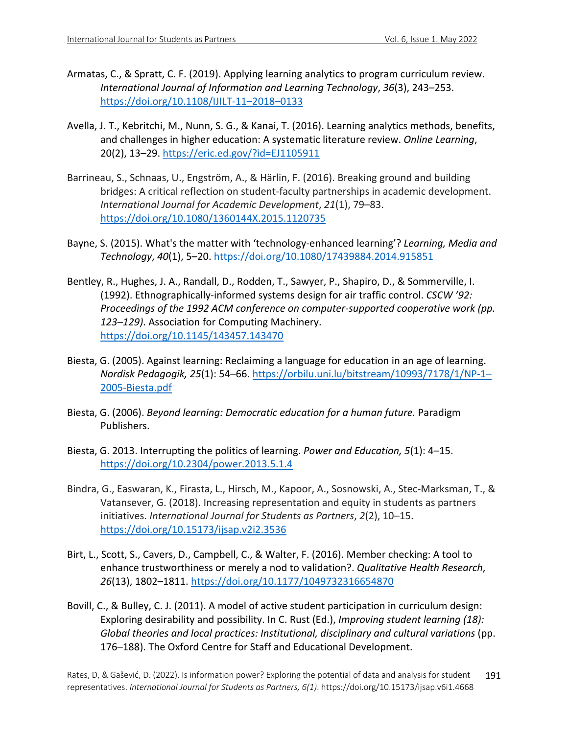- Armatas, C., & Spratt, C. F. (2019). Applying learning analytics to program curriculum review. *International Journal of Information and Learning Technology*, *36*(3), 243–253. https://doi.org/10.1108/IJILT-11–2018–0133
- Avella, J. T., Kebritchi, M., Nunn, S. G., & Kanai, T. (2016). Learning analytics methods, benefits, and challenges in higher education: A systematic literature review. *Online Learning*, 20(2), 13–29. https://eric.ed.gov/?id=EJ1105911
- Barrineau, S., Schnaas, U., Engström, A., & Härlin, F. (2016). Breaking ground and building bridges: A critical reflection on student-faculty partnerships in academic development. *International Journal for Academic Development*, *21*(1), 79–83. https://doi.org/10.1080/1360144X.2015.1120735
- Bayne, S. (2015). What's the matter with 'technology-enhanced learning'? *Learning, Media and Technology*, *40*(1), 5–20. https://doi.org/10.1080/17439884.2014.915851
- Bentley, R., Hughes, J. A., Randall, D., Rodden, T., Sawyer, P., Shapiro, D., & Sommerville, I. (1992). Ethnographically-informed systems design for air traffic control. *CSCW '92: Proceedings of the 1992 ACM conference on computer-supported cooperative work (pp. 123–129)*. Association for Computing Machinery. https://doi.org/10.1145/143457.143470
- Biesta, G. (2005). Against learning: Reclaiming a language for education in an age of learning. *Nordisk Pedagogik, 25*(1): 54–66. https://orbilu.uni.lu/bitstream/10993/7178/1/NP-1– 2005-Biesta.pdf
- Biesta, G. (2006). *Beyond learning: Democratic education for a human future.* Paradigm Publishers.
- Biesta, G. 2013. Interrupting the politics of learning. *Power and Education, 5*(1): 4–15. https://doi.org/10.2304/power.2013.5.1.4
- Bindra, G., Easwaran, K., Firasta, L., Hirsch, M., Kapoor, A., Sosnowski, A., Stec-Marksman, T., & Vatansever, G. (2018). Increasing representation and equity in students as partners initiatives. *International Journal for Students as Partners*, *2*(2), 10–15. https://doi.org/10.15173/ijsap.v2i2.3536
- Birt, L., Scott, S., Cavers, D., Campbell, C., & Walter, F. (2016). Member checking: A tool to enhance trustworthiness or merely a nod to validation?. *Qualitative Health Research*, *26*(13), 1802–1811. https://doi.org/10.1177/1049732316654870
- Bovill, C., & Bulley, C. J. (2011). A model of active student participation in curriculum design: Exploring desirability and possibility. In C. Rust (Ed.), *Improving student learning (18): Global theories and local practices: Institutional, disciplinary and cultural variations* (pp. 176–188). The Oxford Centre for Staff and Educational Development.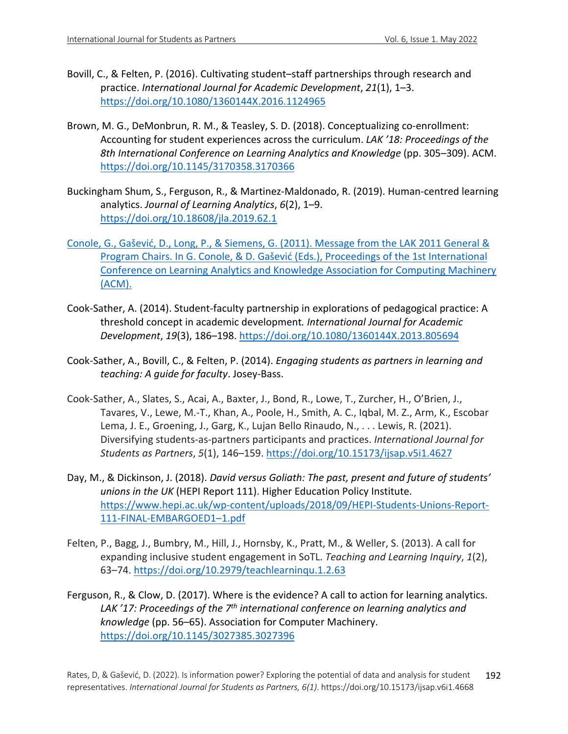- Bovill, C., & Felten, P. (2016). Cultivating student–staff partnerships through research and practice. *International Journal for Academic Development*, *21*(1), 1–3. https://doi.org/10.1080/1360144X.2016.1124965
- Brown, M. G., DeMonbrun, R. M., & Teasley, S. D. (2018). Conceptualizing co-enrollment: Accounting for student experiences across the curriculum. *LAK '18: Proceedings of the 8th International Conference on Learning Analytics and Knowledge* (pp. 305–309). ACM. https://doi.org/10.1145/3170358.3170366
- Buckingham Shum, S., Ferguson, R., & Martinez-Maldonado, R. (2019). Human-centred learning analytics. *Journal of Learning Analytics*, *6*(2), 1–9. https://doi.org/10.18608/jla.2019.62.1
- Conole, G., Gašević, D., Long, P., & Siemens, G. (2011). Message from the LAK 2011 General & Program Chairs. In G. Conole, & D. Gašević (Eds.), Proceedings of the 1st International Conference on Learning Analytics and Knowledge Association for Computing Machinery (ACM).
- Cook-Sather, A. (2014). Student-faculty partnership in explorations of pedagogical practice: A threshold concept in academic development*. International Journal for Academic Development*, *19*(3), 186–198. https://doi.org/10.1080/1360144X.2013.805694
- Cook-Sather, A., Bovill, C., & Felten, P. (2014). *Engaging students as partners in learning and teaching: A guide for faculty*. Josey-Bass.
- Cook-Sather, A., Slates, S., Acai, A., Baxter, J., Bond, R., Lowe, T., Zurcher, H., O'Brien, J., Tavares, V., Lewe, M.-T., Khan, A., Poole, H., Smith, A. C., Iqbal, M. Z., Arm, K., Escobar Lema, J. E., Groening, J., Garg, K., Lujan Bello Rinaudo, N., . . . Lewis, R. (2021). Diversifying students-as-partners participants and practices. *International Journal for Students as Partners*, *5*(1), 146–159. https://doi.org/10.15173/ijsap.v5i1.4627
- Day, M., & Dickinson, J. (2018). *David versus Goliath: The past, present and future of students' unions in the UK* (HEPI Report 111). Higher Education Policy Institute. https://www.hepi.ac.uk/wp-content/uploads/2018/09/HEPI-Students-Unions-Report-111-FINAL-EMBARGOED1–1.pdf
- Felten, P., Bagg, J., Bumbry, M., Hill, J., Hornsby, K., Pratt, M., & Weller, S. (2013). A call for expanding inclusive student engagement in SoTL. *Teaching and Learning Inquiry*, *1*(2), 63–74. https://doi.org/10.2979/teachlearninqu.1.2.63
- Ferguson, R., & Clow, D. (2017). Where is the evidence? A call to action for learning analytics. *LAK '17: Proceedings of the 7th international conference on learning analytics and knowledge* (pp. 56–65). Association for Computer Machinery. https://doi.org/10.1145/3027385.3027396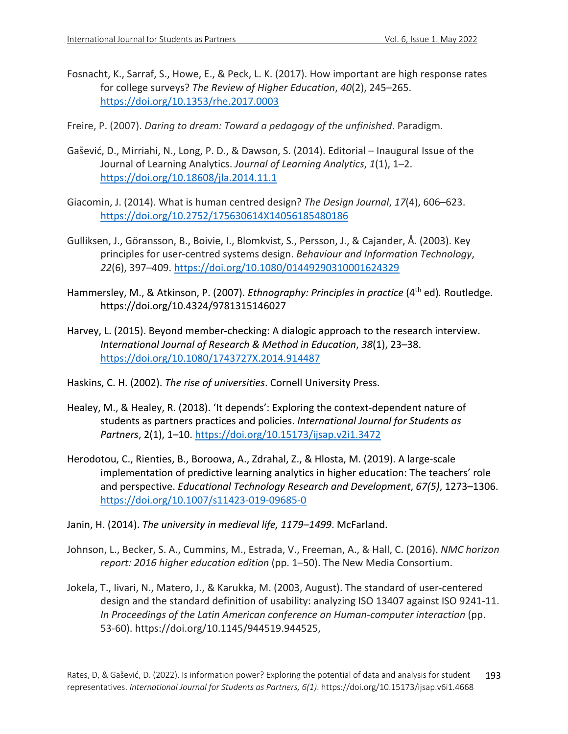- Fosnacht, K., Sarraf, S., Howe, E., & Peck, L. K. (2017). How important are high response rates for college surveys? *The Review of Higher Education*, *40*(2), 245–265. https://doi.org/10.1353/rhe.2017.0003
- Freire, P. (2007). *Daring to dream: Toward a pedagogy of the unfinished*. Paradigm.
- Gašević, D., Mirriahi, N., Long, P. D., & Dawson, S. (2014). Editorial Inaugural Issue of the Journal of Learning Analytics. *Journal of Learning Analytics*, *1*(1), 1–2. https://doi.org/10.18608/jla.2014.11.1
- Giacomin, J. (2014). What is human centred design? *The Design Journal*, *17*(4), 606–623. https://doi.org/10.2752/175630614X14056185480186
- Gulliksen, J., Göransson, B., Boivie, I., Blomkvist, S., Persson, J., & Cajander, Å. (2003). Key principles for user-centred systems design. *Behaviour and Information Technology*, *22*(6), 397–409. https://doi.org/10.1080/01449290310001624329
- Hammersley, M., & Atkinson, P. (2007). *Ethnography: Principles in practice* (4th ed)*.* Routledge. https://doi.org/10.4324/9781315146027
- Harvey, L. (2015). Beyond member-checking: A dialogic approach to the research interview. *International Journal of Research & Method in Education*, *38*(1), 23–38. https://doi.org/10.1080/1743727X.2014.914487
- Haskins, C. H. (2002). *The rise of universities*. Cornell University Press.
- Healey, M., & Healey, R. (2018). 'It depends': Exploring the context-dependent nature of students as partners practices and policies. *International Journal for Students as Partners*, 2(1), 1–10. https://doi.org/10.15173/ijsap.v2i1.3472
- Herodotou, C., Rienties, B., Boroowa, A., Zdrahal, Z., & Hlosta, M. (2019). A large-scale implementation of predictive learning analytics in higher education: The teachers' role and perspective. *Educational Technology Research and Development*, *67(5)*, 1273–1306. https://doi.org/10.1007/s11423-019-09685-0
- Janin, H. (2014). *The university in medieval life, 1179–1499*. McFarland.
- Johnson, L., Becker, S. A., Cummins, M., Estrada, V., Freeman, A., & Hall, C. (2016). *NMC horizon report: 2016 higher education edition* (pp. 1–50). The New Media Consortium.
- Jokela, T., Iivari, N., Matero, J., & Karukka, M. (2003, August). The standard of user-centered design and the standard definition of usability: analyzing ISO 13407 against ISO 9241-11. *In Proceedings of the Latin American conference on Human-computer interaction* (pp. 53-60). https://doi.org/10.1145/944519.944525,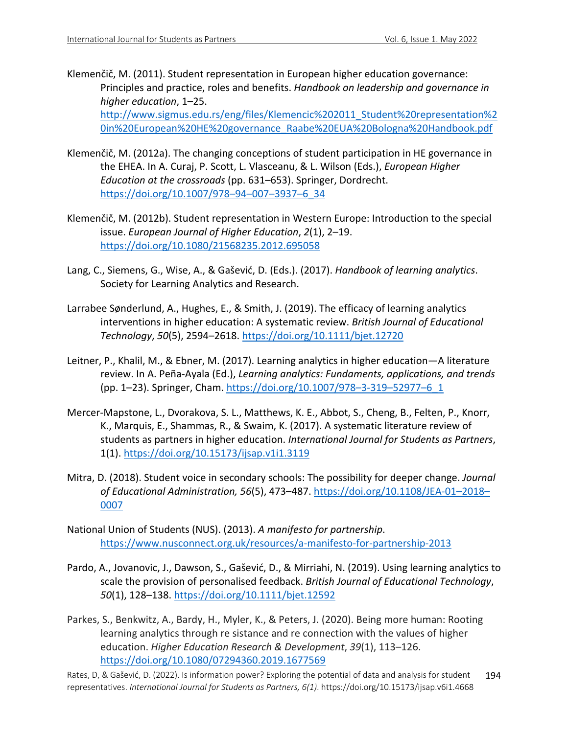Klemenčič, M. (2011). Student representation in European higher education governance: Principles and practice, roles and benefits. *Handbook on leadership and governance in higher education*, 1–25. http://www.sigmus.edu.rs/eng/files/Klemencic%202011\_Student%20representation%2

0in%20European%20HE%20governance\_Raabe%20EUA%20Bologna%20Handbook.pdf

- Klemenčič, M. (2012a). The changing conceptions of student participation in HE governance in the EHEA. In A. Curaj, P. Scott, L. Vlasceanu, & L. Wilson (Eds.), *European Higher Education at the crossroads* (pp. 631–653). Springer, Dordrecht. https://doi.org/10.1007/978–94–007–3937–6\_34
- Klemenčič, M. (2012b). Student representation in Western Europe: Introduction to the special issue. *European Journal of Higher Education*, *2*(1), 2–19. https://doi.org/10.1080/21568235.2012.695058
- Lang, C., Siemens, G., Wise, A., & Gašević, D. (Eds.). (2017). *Handbook of learning analytics*. Society for Learning Analytics and Research.
- Larrabee Sønderlund, A., Hughes, E., & Smith, J. (2019). The efficacy of learning analytics interventions in higher education: A systematic review. *British Journal of Educational Technology*, *50*(5), 2594–2618. https://doi.org/10.1111/bjet.12720
- Leitner, P., Khalil, M., & Ebner, M. (2017). Learning analytics in higher education—A literature review. In A. Peña-Ayala (Ed.), *Learning analytics: Fundaments, applications, and trends* (pp. 1–23). Springer, Cham. https://doi.org/10.1007/978–3-319–52977–6\_1
- Mercer-Mapstone, L., Dvorakova, S. L., Matthews, K. E., Abbot, S., Cheng, B., Felten, P., Knorr, K., Marquis, E., Shammas, R., & Swaim, K. (2017). A systematic literature review of students as partners in higher education. *International Journal for Students as Partners*, 1(1). https://doi.org/10.15173/ijsap.v1i1.3119
- Mitra, D. (2018). Student voice in secondary schools: The possibility for deeper change. *Journal of Educational Administration, 56*(5), 473–487. https://doi.org/10.1108/JEA-01–2018– 0007
- National Union of Students (NUS). (2013). *A manifesto for partnership*. https://www.nusconnect.org.uk/resources/a-manifesto-for-partnership-2013
- Pardo, A., Jovanovic, J., Dawson, S., Gašević, D., & Mirriahi, N. (2019). Using learning analytics to scale the provision of personalised feedback. *British Journal of Educational Technology*, *50*(1), 128–138. https://doi.org/10.1111/bjet.12592
- Parkes, S., Benkwitz, A., Bardy, H., Myler, K., & Peters, J. (2020). Being more human: Rooting learning analytics through re sistance and re connection with the values of higher education. *Higher Education Research & Development*, *39*(1), 113–126. https://doi.org/10.1080/07294360.2019.1677569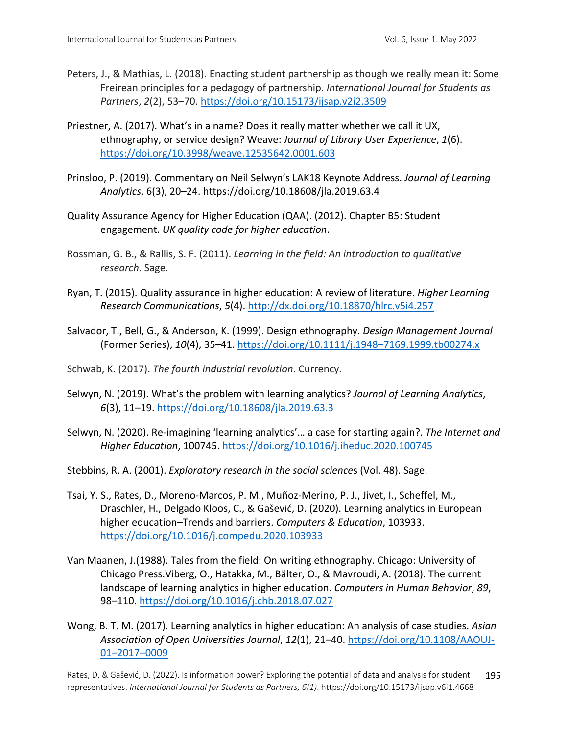- Peters, J., & Mathias, L. (2018). Enacting student partnership as though we really mean it: Some Freirean principles for a pedagogy of partnership. *International Journal for Students as Partners*, *2*(2), 53–70. https://doi.org/10.15173/ijsap.v2i2.3509
- Priestner, A. (2017). What's in a name? Does it really matter whether we call it UX, ethnography, or service design? Weave: *Journal of Library User Experience*, *1*(6). https://doi.org/10.3998/weave.12535642.0001.603
- Prinsloo, P. (2019). Commentary on Neil Selwyn's LAK18 Keynote Address. *Journal of Learning Analytics*, 6(3), 20–24. https://doi.org/10.18608/jla.2019.63.4
- Quality Assurance Agency for Higher Education (QAA). (2012). Chapter B5: Student engagement. *UK quality code for higher education*.
- Rossman, G. B., & Rallis, S. F. (2011). *Learning in the field: An introduction to qualitative research*. Sage.
- Ryan, T. (2015). Quality assurance in higher education: A review of literature. *Higher Learning Research Communications*, *5*(4). http://dx.doi.org/10.18870/hlrc.v5i4.257
- Salvador, T., Bell, G., & Anderson, K. (1999). Design ethnography. *Design Management Journal* (Former Series), *10*(4), 35–41. https://doi.org/10.1111/j.1948–7169.1999.tb00274.x
- Schwab, K. (2017). *The fourth industrial revolution*. Currency.
- Selwyn, N. (2019). What's the problem with learning analytics? *Journal of Learning Analytics*, *6*(3), 11–19. https://doi.org/10.18608/jla.2019.63.3
- Selwyn, N. (2020). Re-imagining 'learning analytics'… a case for starting again?. *The Internet and Higher Education*, 100745. https://doi.org/10.1016/j.iheduc.2020.100745
- Stebbins, R. A. (2001). *Exploratory research in the social science*s (Vol. 48). Sage.
- Tsai, Y. S., Rates, D., Moreno-Marcos, P. M., Muñoz-Merino, P. J., Jivet, I., Scheffel, M., Draschler, H., Delgado Kloos, C., & Gašević, D. (2020). Learning analytics in European higher education–Trends and barriers. *Computers & Education*, 103933. https://doi.org/10.1016/j.compedu.2020.103933
- Van Maanen, J.(1988). Tales from the field: On writing ethnography. Chicago: University of Chicago Press.Viberg, O., Hatakka, M., Bälter, O., & Mavroudi, A. (2018). The current landscape of learning analytics in higher education. *Computers in Human Behavior*, *89*, 98–110. https://doi.org/10.1016/j.chb.2018.07.027
- Wong, B. T. M. (2017). Learning analytics in higher education: An analysis of case studies. *Asian Association of Open Universities Journal*, *12*(1), 21–40. https://doi.org/10.1108/AAOUJ-01–2017–0009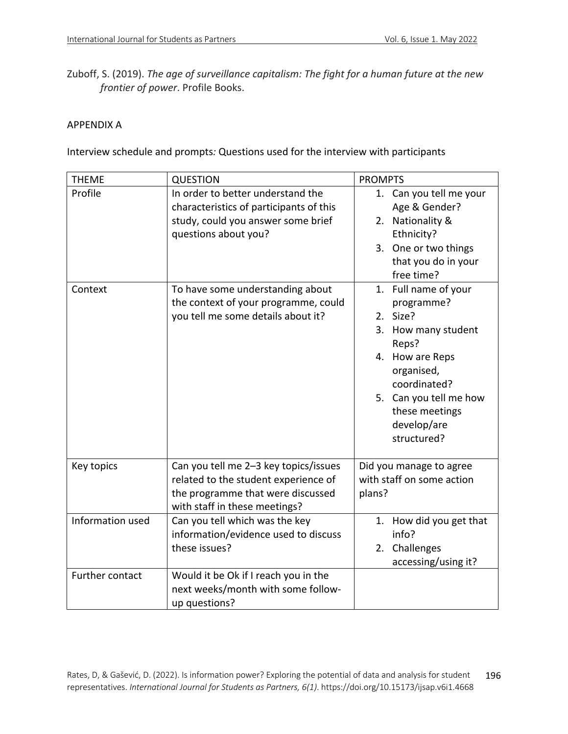Zuboff, S. (2019). *The age of surveillance capitalism: The fight for a human future at the new frontier of power*. Profile Books.

### APPENDIX A

Interview schedule and prompts*:* Questions used for the interview with participants

| <b>THEME</b>     | <b>QUESTION</b>                                                                                                                                     | <b>PROMPTS</b>                                                                                                                                                                                            |
|------------------|-----------------------------------------------------------------------------------------------------------------------------------------------------|-----------------------------------------------------------------------------------------------------------------------------------------------------------------------------------------------------------|
| Profile          | In order to better understand the<br>characteristics of participants of this<br>study, could you answer some brief<br>questions about you?          | 1. Can you tell me your<br>Age & Gender?<br>2. Nationality &<br>Ethnicity?<br>3. One or two things<br>that you do in your<br>free time?                                                                   |
| Context          | To have some understanding about<br>the context of your programme, could<br>you tell me some details about it?                                      | 1. Full name of your<br>programme?<br>2. Size?<br>3. How many student<br>Reps?<br>4. How are Reps<br>organised,<br>coordinated?<br>5. Can you tell me how<br>these meetings<br>develop/are<br>structured? |
| Key topics       | Can you tell me 2-3 key topics/issues<br>related to the student experience of<br>the programme that were discussed<br>with staff in these meetings? | Did you manage to agree<br>with staff on some action<br>plans?                                                                                                                                            |
| Information used | Can you tell which was the key<br>information/evidence used to discuss<br>these issues?                                                             | 1. How did you get that<br>info?<br>2. Challenges<br>accessing/using it?                                                                                                                                  |
| Further contact  | Would it be Ok if I reach you in the<br>next weeks/month with some follow-<br>up questions?                                                         |                                                                                                                                                                                                           |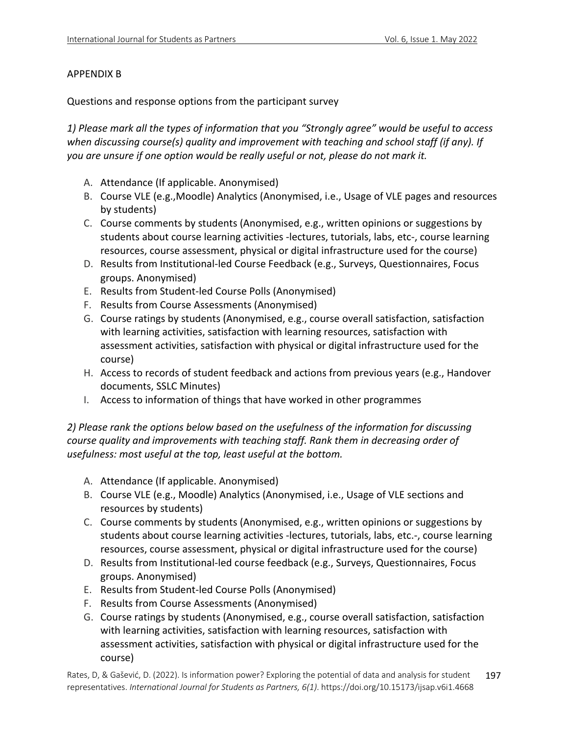### APPENDIX B

Questions and response options from the participant survey

*1) Please mark all the types of information that you "Strongly agree" would be useful to access when discussing course(s) quality and improvement with teaching and school staff (if any). If you are unsure if one option would be really useful or not, please do not mark it.*

- A. Attendance (If applicable. Anonymised)
- B. Course VLE (e.g.,Moodle) Analytics (Anonymised, i.e., Usage of VLE pages and resources by students)
- C. Course comments by students (Anonymised, e.g., written opinions or suggestions by students about course learning activities -lectures, tutorials, labs, etc-, course learning resources, course assessment, physical or digital infrastructure used for the course)
- D. Results from Institutional-led Course Feedback (e.g., Surveys, Questionnaires, Focus groups. Anonymised)
- E. Results from Student-led Course Polls (Anonymised)
- F. Results from Course Assessments (Anonymised)
- G. Course ratings by students (Anonymised, e.g., course overall satisfaction, satisfaction with learning activities, satisfaction with learning resources, satisfaction with assessment activities, satisfaction with physical or digital infrastructure used for the course)
- H. Access to records of student feedback and actions from previous years (e.g., Handover documents, SSLC Minutes)
- I. Access to information of things that have worked in other programmes

*2) Please rank the options below based on the usefulness of the information for discussing course quality and improvements with teaching staff. Rank them in decreasing order of usefulness: most useful at the top, least useful at the bottom.*

- A. Attendance (If applicable. Anonymised)
- B. Course VLE (e.g., Moodle) Analytics (Anonymised, i.e., Usage of VLE sections and resources by students)
- C. Course comments by students (Anonymised, e.g., written opinions or suggestions by students about course learning activities -lectures, tutorials, labs, etc.-, course learning resources, course assessment, physical or digital infrastructure used for the course)
- D. Results from Institutional-led course feedback (e.g., Surveys, Questionnaires, Focus groups. Anonymised)
- E. Results from Student-led Course Polls (Anonymised)
- F. Results from Course Assessments (Anonymised)
- G. Course ratings by students (Anonymised, e.g., course overall satisfaction, satisfaction with learning activities, satisfaction with learning resources, satisfaction with assessment activities, satisfaction with physical or digital infrastructure used for the course)